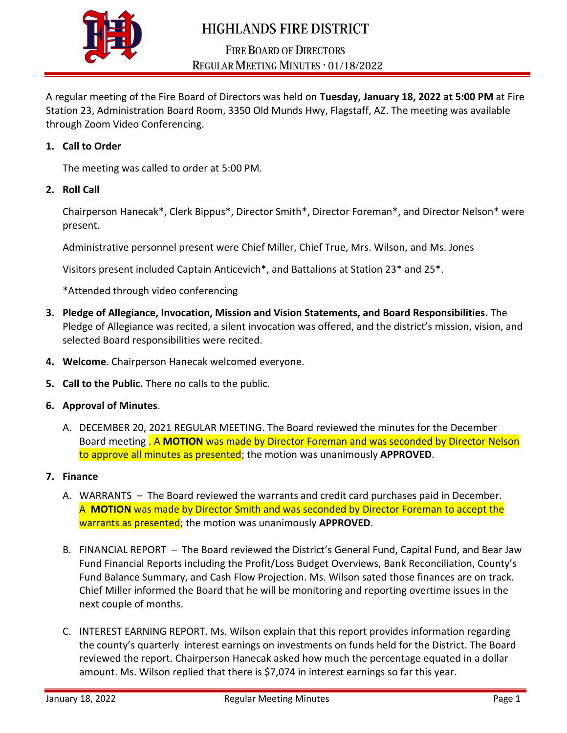

# **HIGHLANDS FIRE DISTRICT**

# **FIRE BOARD OF DIRECTORS** REGULAR MEETING MINUTES . 01/18/2022

A regular meeting of the Fire Board of Directors was held on **Tuesday, January 18, 2022 at 5:00 PM** at Fire Station 23, Administration Board Room, 3350 Old Munds Hwy, Flagstaff, AZ. The meeting was available through Zoom Video Conferencing.

### **1. Call to Order**

The meeting was called to order at 5:00 PM.

#### **2. Roll Call**

Chairperson Hanecak\*, Clerk Bippus\*, Director Smith\*, Director Foreman\*, and Director Nelson\* were present.

Administrative personnel present were Chief Miller, Chief True, Mrs. Wilson, and Ms. Jones

Visitors present included Captain Anticevich\*, and Battalions at Station 23\* and 25\*.

\*Attended through video conferencing

- **3. Pledge of Allegiance, Invocation, Mission and Vision Statements, and Board Responsibilities.** The Pledge of Allegiance was recited, a silent invocation was offered, and the district's mission, vision, and selected Board responsibilities were recited.
- **4. Welcome**. Chairperson Hanecak welcomed everyone.
- **5. Call to the Public.** There no calls to the public.
- **6. Approval of Minutes**.
	- A. DECEMBER 20, 2021 REGULAR MEETING. The Board reviewed the minutes for the December Board meeting . A **MOTION** was made by Director Foreman and was seconded by Director Nelson to approve all minutes as presented; the motion was unanimously **APPROVED**.
- **7. Finance**
	- A. WARRANTS The Board reviewed the warrants and credit card purchases paid in December. A **MOTION** was made by Director Smith and was seconded by Director Foreman to accept the warrants as presented; the motion was unanimously **APPROVED**.
	- B. FINANCIAL REPORT The Board reviewed the District's General Fund, Capital Fund, and Bear Jaw Fund Financial Reports including the Profit/Loss Budget Overviews, Bank Reconciliation, County's Fund Balance Summary, and Cash Flow Projection. Ms. Wilson sated those finances are on track. Chief Miller informed the Board that he will be monitoring and reporting overtime issues in the next couple of months.
	- C. INTEREST EARNING REPORT. Ms. Wilson explain that this report provides information regarding the county's quarterly interest earnings on investments on funds held for the District. The Board reviewed the report. Chairperson Hanecak asked how much the percentage equated in a dollar amount. Ms. Wilson replied that there is \$7,074 in interest earnings so far this year.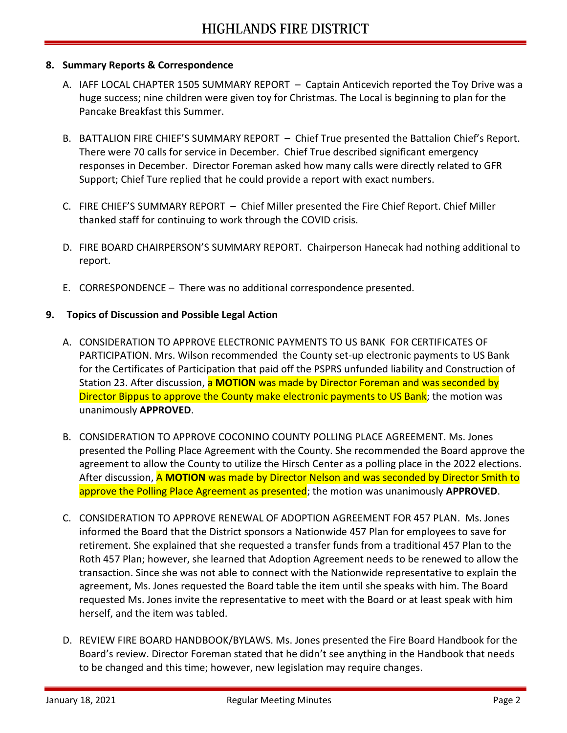#### **8. Summary Reports & Correspondence**

- A. IAFF LOCAL CHAPTER 1505 SUMMARY REPORT Captain Anticevich reported the Toy Drive was a huge success; nine children were given toy for Christmas. The Local is beginning to plan for the Pancake Breakfast this Summer.
- B. BATTALION FIRE CHIEF'S SUMMARY REPORT Chief True presented the Battalion Chief's Report. There were 70 calls for service in December. Chief True described significant emergency responses in December. Director Foreman asked how many calls were directly related to GFR Support; Chief Ture replied that he could provide a report with exact numbers.
- C. FIRE CHIEF'S SUMMARY REPORT Chief Miller presented the Fire Chief Report. Chief Miller thanked staff for continuing to work through the COVID crisis.
- D. FIRE BOARD CHAIRPERSON'S SUMMARY REPORT. Chairperson Hanecak had nothing additional to report.
- E. CORRESPONDENCE There was no additional correspondence presented.

## **9. Topics of Discussion and Possible Legal Action**

- A. CONSIDERATION TO APPROVE ELECTRONIC PAYMENTS TO US BANK FOR CERTIFICATES OF PARTICIPATION. Mrs. Wilson recommended the County set-up electronic payments to US Bank for the Certificates of Participation that paid off the PSPRS unfunded liability and Construction of Station 23. After discussion, a **MOTION** was made by Director Foreman and was seconded by Director Bippus to approve the County make electronic payments to US Bank; the motion was unanimously **APPROVED**.
- B. CONSIDERATION TO APPROVE COCONINO COUNTY POLLING PLACE AGREEMENT. Ms. Jones presented the Polling Place Agreement with the County. She recommended the Board approve the agreement to allow the County to utilize the Hirsch Center as a polling place in the 2022 elections. After discussion, A **MOTION** was made by Director Nelson and was seconded by Director Smith to approve the Polling Place Agreement as presented; the motion was unanimously **APPROVED**.
- C. CONSIDERATION TO APPROVE RENEWAL OF ADOPTION AGREEMENT FOR 457 PLAN. Ms. Jones informed the Board that the District sponsors a Nationwide 457 Plan for employees to save for retirement. She explained that she requested a transfer funds from a traditional 457 Plan to the Roth 457 Plan; however, she learned that Adoption Agreement needs to be renewed to allow the transaction. Since she was not able to connect with the Nationwide representative to explain the agreement, Ms. Jones requested the Board table the item until she speaks with him. The Board requested Ms. Jones invite the representative to meet with the Board or at least speak with him herself, and the item was tabled.
- D. REVIEW FIRE BOARD HANDBOOK/BYLAWS. Ms. Jones presented the Fire Board Handbook for the Board's review. Director Foreman stated that he didn't see anything in the Handbook that needs to be changed and this time; however, new legislation may require changes.